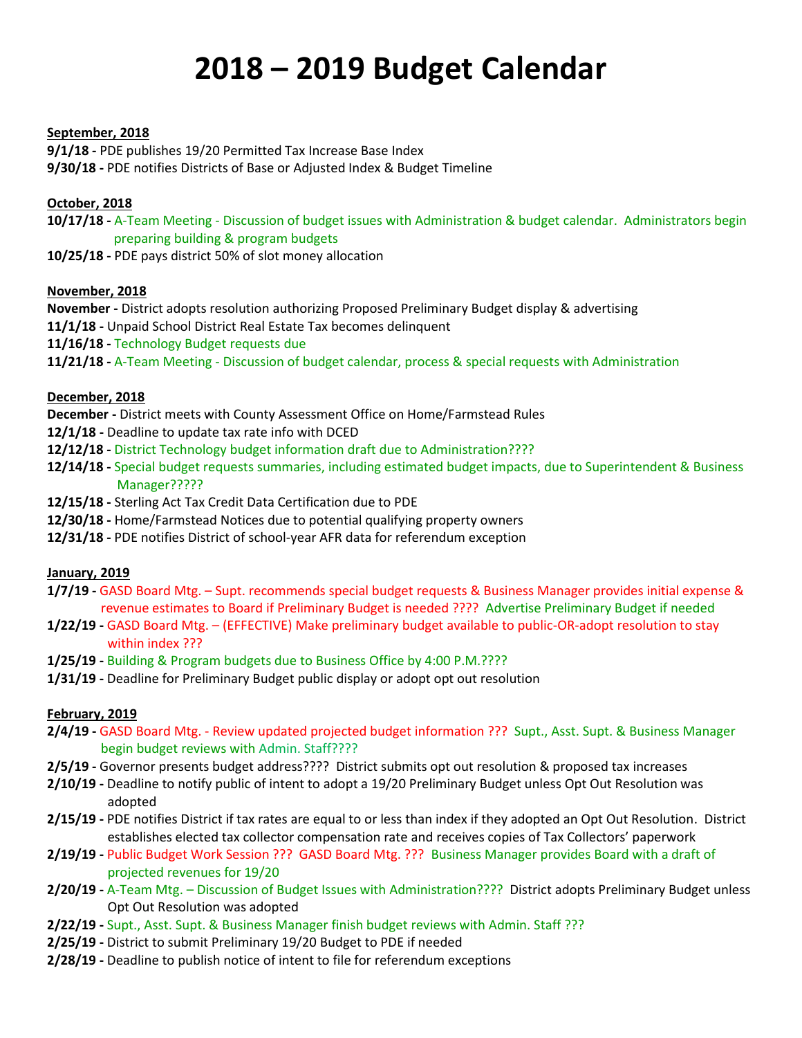# **2018 – 2019 Budget Calendar**

#### **September, 2018**

**9/1/18 -** PDE publishes 19/20 Permitted Tax Increase Base Index **9/30/18 -** PDE notifies Districts of Base or Adjusted Index & Budget Timeline

### **October, 2018**

**10/17/18 -** A-Team Meeting - Discussion of budget issues with Administration & budget calendar. Administrators begin preparing building & program budgets

**10/25/18 -** PDE pays district 50% of slot money allocation

#### **November, 2018**

**November -** District adopts resolution authorizing Proposed Preliminary Budget display & advertising

**11/1/18 -** Unpaid School District Real Estate Tax becomes delinquent

**11/16/18 -** Technology Budget requests due

**11/21/18 -** A-Team Meeting - Discussion of budget calendar, process & special requests with Administration

#### **December, 2018**

**December -** District meets with County Assessment Office on Home/Farmstead Rules

- **12/1/18 -** Deadline to update tax rate info with DCED
- **12/12/18 -** District Technology budget information draft due to Administration????
- **12/14/18 -** Special budget requests summaries, including estimated budget impacts, due to Superintendent & Business Manager?????
- **12/15/18 -** Sterling Act Tax Credit Data Certification due to PDE
- **12/30/18 -** Home/Farmstead Notices due to potential qualifying property owners
- **12/31/18 -** PDE notifies District of school-year AFR data for referendum exception

#### **January, 2019**

- **1/7/19 -** GASD Board Mtg. Supt. recommends special budget requests & Business Manager provides initial expense & revenue estimates to Board if Preliminary Budget is needed ???? Advertise Preliminary Budget if needed
- **1/22/19 -** GASD Board Mtg. (EFFECTIVE) Make preliminary budget available to public-OR-adopt resolution to stay within index ???
- **1/25/19 -** Building & Program budgets due to Business Office by 4:00 P.M.????
- **1/31/19 -** Deadline for Preliminary Budget public display or adopt opt out resolution

#### **February, 2019**

- **2/4/19 -** GASD Board Mtg. Review updated projected budget information ??? Supt., Asst. Supt. & Business Manager begin budget reviews with Admin. Staff????
- **2/5/19 -** Governor presents budget address???? District submits opt out resolution & proposed tax increases
- **2/10/19 -** Deadline to notify public of intent to adopt a 19/20 Preliminary Budget unless Opt Out Resolution was adopted
- **2/15/19 -** PDE notifies District if tax rates are equal to or less than index if they adopted an Opt Out Resolution. District establishes elected tax collector compensation rate and receives copies of Tax Collectors' paperwork
- **2/19/19 -** Public Budget Work Session ??? GASD Board Mtg. ??? Business Manager provides Board with a draft of projected revenues for 19/20
- **2/20/19 -** A-Team Mtg. Discussion of Budget Issues with Administration???? District adopts Preliminary Budget unless Opt Out Resolution was adopted
- **2/22/19 -** Supt., Asst. Supt. & Business Manager finish budget reviews with Admin. Staff ???
- **2/25/19 -** District to submit Preliminary 19/20 Budget to PDE if needed
- **2/28/19 -** Deadline to publish notice of intent to file for referendum exceptions